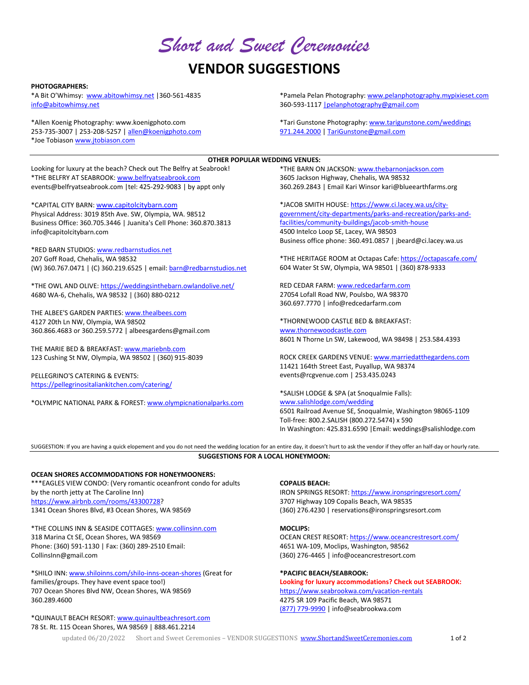*Short and Sweet Ceremonies* 

# **VENDOR SUGGESTIONS**

## **PHOTOGRAPHERS:**

\*A Bit O'Whimsy: www.abitowhimsy.net | 360-561-4835 info@abitowhimsy.net

\*Allen Koenig Photography: www.koenigphoto.com 253‐735‐3007 | 253‐208‐5257 | allen@koenigphoto.com \*Joe Tobiason www.jtobiason.com

\*Pamela Pelan Photography: www.pelanphotography.mypixieset.com 360-593-1117 | pelanphotography@gmail.com

\*Tari Gunstone Photography: www.tarigunstone.com/weddings 971.244.2000 | TariGunstone@gmail.com

## **OTHER POPULAR WEDDING VENUES:**

Looking for luxury at the beach? Check out The Belfry at Seabrook! \*THE BELFRY AT SEABROOK: www.belfryatseabrook.com events@belfryatseabrook.com |tel: 425‐292‐9083 | by appt only

\*CAPITAL CITY BARN: www.capitolcitybarn.com Physical Address: 3019 85th Ave. SW, Olympia, WA. 98512 Business Office: 360.705.3446 | Juanita's Cell Phone: 360.870.3813 info@capitolcitybarn.com

\*RED BARN STUDIOS: www.redbarnstudios.net 207 Goff Road, Chehalis, WA 98532 (W) 360.767.0471 | (C) 360.219.6525 | email: barn@redbarnstudios.net

\*THE OWL AND OLIVE: https://weddingsinthebarn.owlandolive.net/ 4680 WA‐6, Chehalis, WA 98532 | (360) 880‐0212

THE ALBEE'S GARDEN PARTIES: www.thealbees.com 4127 20th Ln NW, Olympia, WA 98502 360.866.4683 or 360.259.5772 | albeesgardens@gmail.com

THE MARIE BED & BREAKFAST: www.mariebnb.com 123 Cushing St NW, Olympia, WA 98502 | (360) 915‐8039

PELLEGRINO'S CATERING & EVENTS: https://pellegrinositaliankitchen.com/catering/

\*OLYMPIC NATIONAL PARK & FOREST: www.olympicnationalparks.com

\*THE BARN ON JACKSON: www.thebarnonjackson.com 3605 Jackson Highway, Chehalis, WA 98532 360.269.2843 | Email Kari Winsor kari@blueearthfarms.org

\*JACOB SMITH HOUSE: https://www.ci.lacey.wa.us/city‐ government/city‐departments/parks‐and‐recreation/parks‐and‐ facilities/community‐buildings/jacob‐smith‐house 4500 Intelco Loop SE, Lacey, WA 98503 Business office phone: 360.491.0857 | jbeard@ci.lacey.wa.us

\*THE HERITAGE ROOM at Octapas Cafe: https://octapascafe.com/ 604 Water St SW, Olympia, WA 98501 | (360) 878‐9333

RED CEDAR FARM: www.redcedarfarm.com 27054 Lofall Road NW, Poulsbo, WA 98370 360.697.7770 | info@redcedarfarm.com

\*THORNEWOOD CASTLE BED & BREAKFAST: www.thornewoodcastle.com 8601 N Thorne Ln SW, Lakewood, WA 98498 | 253.584.4393

ROCK CREEK GARDENS VENUE: www.marriedatthegardens.com 11421 164th Street East, Puyallup, WA 98374 events@rcgvenue.com | 253.435.0243

\*SALISH LODGE & SPA (at Snoqualmie Falls): www.salishlodge.com/wedding 6501 Railroad Avenue SE, Snoqualmie, Washington 98065‐1109 Toll‐free: 800.2.SALISH (800.272.5474) x 590 In Washington: 425.831.6590 |Email: weddings@salishlodge.com

SUGGESTION: If you are having a quick elopement and you do not need the wedding location for an entire day, it doesn't hurt to ask the vendor if they offer an half-day or hourly rate. **SUGGESTIONS FOR A LOCAL HONEYMOON:**

**OCEAN SHORES ACCOMMODATIONS FOR HONEYMOONERS:** \*\*\*EAGLES VIEW CONDO: (Very romantic oceanfront condo for adults by the north jetty at The Caroline Inn) https://www.airbnb.com/rooms/43300728? 1341 Ocean Shores Blvd, #3 Ocean Shores, WA 98569

\*THE COLLINS INN & SEASIDE COTTAGES: www.collinsinn.com 318 Marina Ct SE, Ocean Shores, WA 98569 Phone: (360) 591‐1130 | Fax: (360) 289‐2510 Email: CollinsInn@gmail.com

\*SHILO INN: www.shiloinns.com/shilo‐inns‐ocean‐shores (Great for families/groups. They have event space too!) 707 Ocean Shores Blvd NW, Ocean Shores, WA 98569 360.289.4600

\*QUINAULT BEACH RESORT: www.quinaultbeachresort.com 78 St. Rt. 115 Ocean Shores, WA 98569 | 888.461.2214

**COPALIS BEACH:** 

IRON SPRINGS RESORT: https://www.ironspringsresort.com/ 3707 Highway 109 Copalis Beach, WA 98535 (360) 276.4230 | reservations@ironspringsresort.com

## **MOCLIPS:**

OCEAN CREST RESORT: https://www.oceancrestresort.com/ 4651 WA‐109, Moclips, Washington, 98562 (360) 276‐4465 | info@oceancrestresort.com

## **\*PACIFIC BEACH/SEABROOK:**

**Looking for luxury accommodations? Check out SEABROOK:** https://www.seabrookwa.com/vacation‐rentals 4275 SR 109 Pacific Beach, WA 98571 (877) 779-9990 | info@seabrookwa.com

updated 06/20/2022 Short and Sweet Ceremonies - VENDOR SUGGESTIONS www.ShortandSweetCeremonies.com 1 of 2